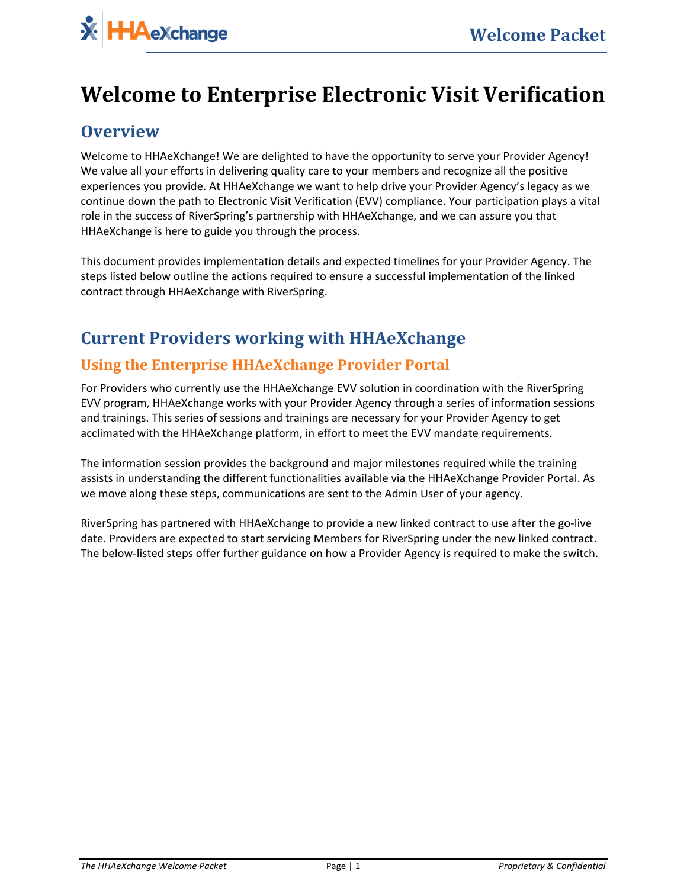# **Welcome to Enterprise Electronic Visit Verification**

## **Overview**

Welcome to HHAeXchange! We are delighted to have the opportunity to serve your Provider Agency! We value all your efforts in delivering quality care to your members and recognize all the positive experiences you provide. At HHAeXchange we want to help drive your Provider Agency's legacy as we continue down the path to Electronic Visit Verification (EVV) compliance. Your participation plays a vital role in the success of RiverSpring's partnership with HHAeXchange, and we can assure you that HHAeXchange is here to guide you through the process.

This document provides implementation details and expected timelines for your Provider Agency. The steps listed below outline the actions required to ensure a successful implementation of the linked contract through HHAeXchange with RiverSpring.

# **Current Providers working with HHAeXchange**

#### **Using the Enterprise HHAeXchange Provider Portal**

For Providers who currently use the HHAeXchange EVV solution in coordination with the RiverSpring EVV program, HHAeXchange works with your Provider Agency through a series of information sessions and trainings. This series of sessions and trainings are necessary for your Provider Agency to get acclimated with the HHAeXchange platform, in effort to meet the EVV mandate requirements.

The information session provides the background and major milestones required while the training assists in understanding the different functionalities available via the HHAeXchange Provider Portal. As we move along these steps, communications are sent to the Admin User of your agency.

RiverSpring has partnered with HHAeXchange to provide a new linked contract to use after the go-live date. Providers are expected to start servicing Members for RiverSpring under the new linked contract. The below-listed steps offer further guidance on how a Provider Agency is required to make the switch.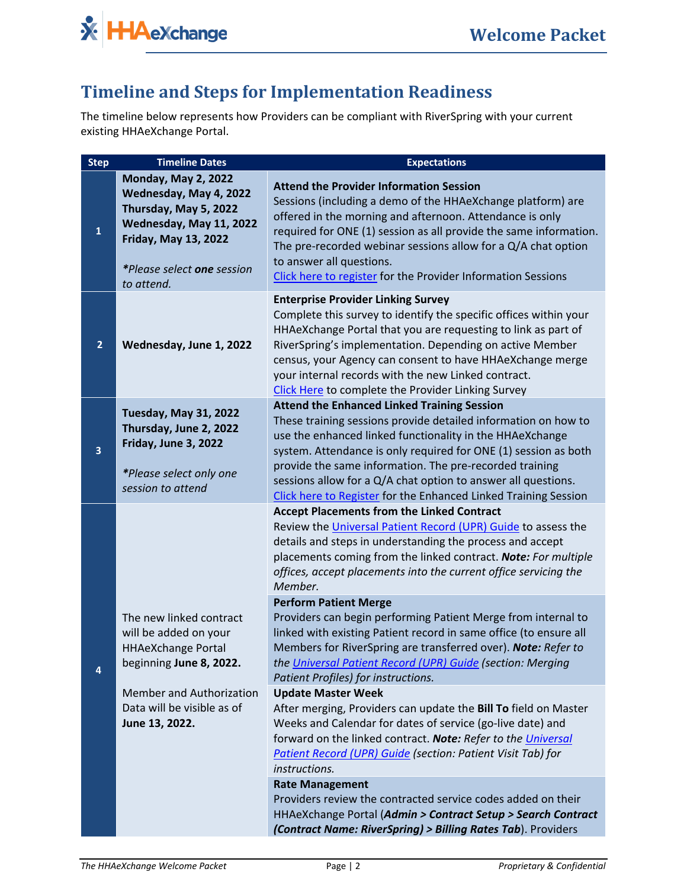

# **Timeline and Steps for Implementation Readiness**

The timeline below represents how Providers can be compliant with RiverSpring with your current existing HHAeXchange Portal.

| <b>Step</b>    | <b>Timeline Dates</b>                                                                                                                                                                      | <b>Expectations</b>                                                                                                                                                                                                                                                                                                                                                                                                                                |
|----------------|--------------------------------------------------------------------------------------------------------------------------------------------------------------------------------------------|----------------------------------------------------------------------------------------------------------------------------------------------------------------------------------------------------------------------------------------------------------------------------------------------------------------------------------------------------------------------------------------------------------------------------------------------------|
| $\mathbf{1}$   | <b>Monday, May 2, 2022</b><br>Wednesday, May 4, 2022<br>Thursday, May 5, 2022<br>Wednesday, May 11, 2022<br><b>Friday, May 13, 2022</b><br><i>*Please select one session</i><br>to attend. | <b>Attend the Provider Information Session</b><br>Sessions (including a demo of the HHAeXchange platform) are<br>offered in the morning and afternoon. Attendance is only<br>required for ONE (1) session as all provide the same information.<br>The pre-recorded webinar sessions allow for a $Q/A$ chat option<br>to answer all questions.<br>Click here to register for the Provider Information Sessions                                      |
| $\overline{2}$ | Wednesday, June 1, 2022                                                                                                                                                                    | <b>Enterprise Provider Linking Survey</b><br>Complete this survey to identify the specific offices within your<br>HHAeXchange Portal that you are requesting to link as part of<br>RiverSpring's implementation. Depending on active Member<br>census, your Agency can consent to have HHAeXchange merge<br>your internal records with the new Linked contract.<br>Click Here to complete the Provider Linking Survey                              |
| 3              | <b>Tuesday, May 31, 2022</b><br>Thursday, June 2, 2022<br>Friday, June 3, 2022<br>*Please select only one<br>session to attend                                                             | <b>Attend the Enhanced Linked Training Session</b><br>These training sessions provide detailed information on how to<br>use the enhanced linked functionality in the HHAeXchange<br>system. Attendance is only required for ONE (1) session as both<br>provide the same information. The pre-recorded training<br>sessions allow for a Q/A chat option to answer all questions.<br>Click here to Register for the Enhanced Linked Training Session |
|                |                                                                                                                                                                                            | <b>Accept Placements from the Linked Contract</b><br>Review the Universal Patient Record (UPR) Guide to assess the<br>details and steps in understanding the process and accept<br>placements coming from the linked contract. Note: For multiple<br>offices, accept placements into the current office servicing the<br>Member.                                                                                                                   |
| 4              | The new linked contract<br>will be added on your<br><b>HHAeXchange Portal</b><br>beginning June 8, 2022.                                                                                   | <b>Perform Patient Merge</b><br>Providers can begin performing Patient Merge from internal to<br>linked with existing Patient record in same office (to ensure all<br>Members for RiverSpring are transferred over). Note: Refer to<br>the Universal Patient Record (UPR) Guide (section: Merging<br>Patient Profiles) for instructions.                                                                                                           |
|                | <b>Member and Authorization</b><br>Data will be visible as of<br>June 13, 2022.                                                                                                            | <b>Update Master Week</b><br>After merging, Providers can update the Bill To field on Master<br>Weeks and Calendar for dates of service (go-live date) and<br>forward on the linked contract. Note: Refer to the Universal<br>Patient Record (UPR) Guide (section: Patient Visit Tab) for<br>instructions.                                                                                                                                         |
|                |                                                                                                                                                                                            | <b>Rate Management</b><br>Providers review the contracted service codes added on their<br>HHAeXchange Portal (Admin > Contract Setup > Search Contract<br>(Contract Name: RiverSpring) > Billing Rates Tab). Providers                                                                                                                                                                                                                             |